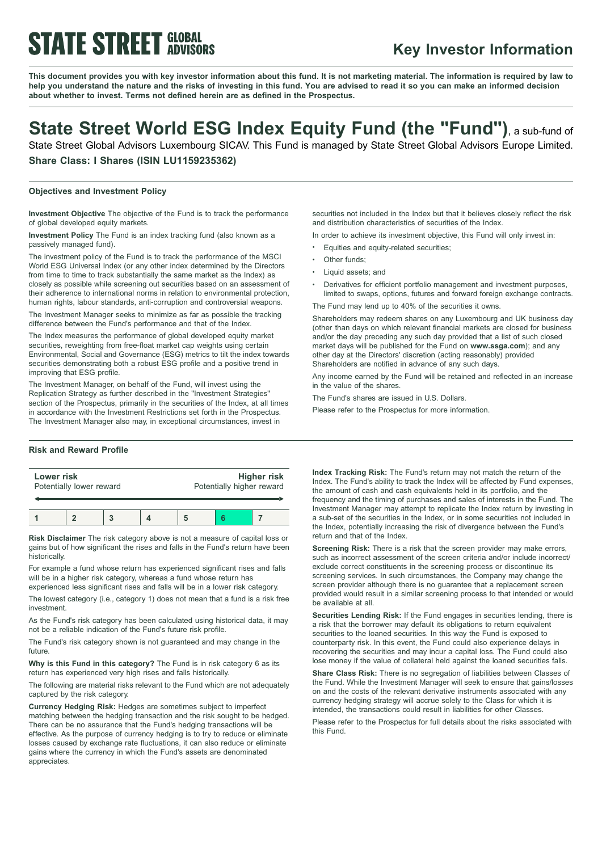# **STATE STREET GLOBAL**

### **Key Investor Information**

This document provides you with key investor information about this fund. It is not marketing material. The information is required by law to help you understand the nature and the risks of investing in this fund. You are advised to read it so you can make an informed decision **about whether to invest. Terms not defined herein are as defined in the Prospectus.**

## **State Street World ESG Index Equity Fund (the "Fund")**, <sup>a</sup> sub-fund of

State Street Global Advisors Luxembourg SICAV. This Fund is managed by State Street Global Advisors Europe Limited. **Share Class: I Shares (ISIN LU1159235362)**

#### **Objectives and Investment Policy**

**Investment Objective** The objective of the Fund is to track the performance of global developed equity markets.

**Investment Policy** The Fund is an index tracking fund (also known as a passively managed fund).

The investment policy of the Fund is to track the performance of the MSCI World ESG Universal Index (or any other index determined by the Directors from time to time to track substantially the same market as the Index) as closely as possible while screening out securities based on an assessment of their adherence to international norms in relation to environmental protection, human rights, labour standards, anti-corruption and controversial weapons.

The Investment Manager seeks to minimize as far as possible the tracking difference between the Fund's performance and that of the Index.

The Index measures the performance of global developed equity market securities, reweighting from free-float market cap weights using certain Environmental, Social and Governance (ESG) metrics to tilt the index towards securities demonstrating both a robust ESG profile and a positive trend in improving that ESG profile.

The Investment Manager, on behalf of the Fund, will invest using the Replication Strategy as further described in the "Investment Strategies" section of the Prospectus, primarily in the securities of the Index, at all times in accordance with the Investment Restrictions set forth in the Prospectus. The Investment Manager also may, in exceptional circumstances, invest in

#### **Risk and Reward Profile**

| Lower risk               |  |  |  | <b>Higher risk</b>        |  |  |  |
|--------------------------|--|--|--|---------------------------|--|--|--|
| Potentially lower reward |  |  |  | Potentially higher reward |  |  |  |
|                          |  |  |  |                           |  |  |  |

**Risk Disclaimer** The risk category above is not a measure of capital loss or gains but of how significant the rises and falls in the Fund's return have been historically.

For example a fund whose return has experienced significant rises and falls will be in a higher risk category, whereas a fund whose return has experienced less significant rises and falls will be in a lower risk category.

The lowest category (i.e., category 1) does not mean that a fund is a risk free investment.

As the Fund's risk category has been calculated using historical data, it may not be a reliable indication of the Fund's future risk profile.

The Fund's risk category shown is not guaranteed and may change in the future.

**Why is this Fund in this category?** The Fund is in risk category 6 as its return has experienced very high rises and falls historically.

The following are material risks relevant to the Fund which are not adequately captured by the risk category.

**Currency Hedging Risk:** Hedges are sometimes subject to imperfect matching between the hedging transaction and the risk sought to be hedged. There can be no assurance that the Fund's hedging transactions will be effective. As the purpose of currency hedging is to try to reduce or eliminate losses caused by exchange rate fluctuations, it can also reduce or eliminate gains where the currency in which the Fund's assets are denominated appreciates.

securities not included in the Index but that it believes closely reflect the risk and distribution characteristics of securities of the Index.

In order to achieve its investment objective, this Fund will only invest in:

- Equities and equity-related securities;
- Other funds;
- Liquid assets: and
- Derivatives for efficient portfolio management and investment purposes. limited to swaps, options, futures and forward foreign exchange contracts.

The Fund may lend up to 40% of the securities it owns.

Shareholders may redeem shares on any Luxembourg and UK business day (other than days on which relevant financial markets are closed for business and/or the day preceding any such day provided that a list of such closed market days will be published for the Fund on **www.ssga.com**); and any other day at the Directors' discretion (acting reasonably) provided Shareholders are notified in advance of any such days.

Any income earned by the Fund will be retained and reflected in an increase in the value of the shares.

The Fund's shares are issued in U.S. Dollars.

Please refer to the Prospectus for more information.

**Index Tracking Risk:** The Fund's return may not match the return of the Index. The Fund's ability to track the Index will be affected by Fund expenses, the amount of cash and cash equivalents held in its portfolio, and the frequency and the timing of purchases and sales of interests in the Fund. The Investment Manager may attempt to replicate the Index return by investing in a sub-set of the securities in the Index, or in some securities not included in the Index, potentially increasing the risk of divergence between the Fund's return and that of the Index.

**Screening Risk:** There is a risk that the screen provider may make errors, such as incorrect assessment of the screen criteria and/or include incorrect/ exclude correct constituents in the screening process or discontinue its screening services. In such circumstances, the Company may change the screen provider although there is no guarantee that a replacement screen provided would result in a similar screening process to that intended or would be available at all.

**Securities Lending Risk:** If the Fund engages in securities lending, there is a risk that the borrower may default its obligations to return equivalent securities to the loaned securities. In this way the Fund is exposed to counterparty risk. In this event, the Fund could also experience delays in recovering the securities and may incur a capital loss. The Fund could also lose money if the value of collateral held against the loaned securities falls.

**Share Class Risk:** There is no segregation of liabilities between Classes of the Fund. While the Investment Manager will seek to ensure that gains/losses on and the costs of the relevant derivative instruments associated with any currency hedging strategy will accrue solely to the Class for which it is intended, the transactions could result in liabilities for other Classes.

Please refer to the Prospectus for full details about the risks associated with this Fund.